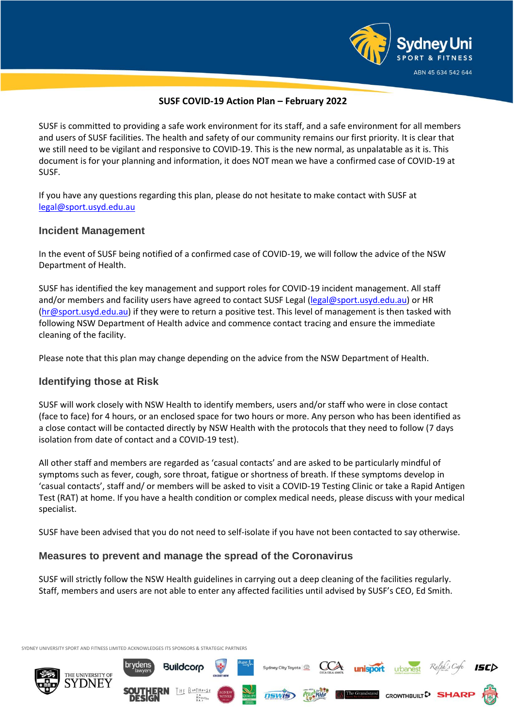

**unisport** urbanest Ray

GROWTHBUILT<sup>D</sup> SI

The Grandstand

### **SUSF COVID-19 Action Plan – February 2022**

SUSF is committed to providing a safe work environment for its staff, and a safe environment for all members and users of SUSF facilities. The health and safety of our community remains our first priority. It is clear that we still need to be vigilant and responsive to COVID-19. This is the new normal, as unpalatable as it is. This document is for your planning and information, it does NOT mean we have a confirmed case of COVID-19 at SUSF.

If you have any questions regarding this plan, please do not hesitate to make contact with SUSF at [legal@sport.usyd.edu.au](mailto:legal@sport.usyd.edu.au)

### **Incident Management**

In the event of SUSF being notified of a confirmed case of COVID-19, we will follow the advice of the NSW Department of Health.

SUSF has identified the key management and support roles for COVID-19 incident management. All staff and/or members and facility users have agreed to contact SUSF Legal [\(legal@sport.usyd.edu.au\)](mailto:legal@sport.usyd.edu.au) or HR [\(hr@sport.usyd.edu.au\)](mailto:hr@sport.usyd.edu.au) if they were to return a positive test. This level of management is then tasked with following NSW Department of Health advice and commence contact tracing and ensure the immediate cleaning of the facility.

Please note that this plan may change depending on the advice from the NSW Department of Health.

# **Identifying those at Risk**

SUSF will work closely with NSW Health to identify members, users and/or staff who were in close contact (face to face) for 4 hours, or an enclosed space for two hours or more. Any person who has been identified as a close contact will be contacted directly by NSW Health with the protocols that they need to follow (7 days isolation from date of contact and a COVID-19 test).

All other staff and members are regarded as 'casual contacts' and are asked to be particularly mindful of symptoms such as fever, cough, sore throat, fatigue or shortness of breath. If these symptoms develop in 'casual contacts', staff and/ or members will be asked to visit a COVID-19 Testing Clinic or take a Rapid Antigen Test (RAT) at home. If you have a health condition or complex medical needs, please discuss with your medical specialist.

SUSF have been advised that you do not need to self-isolate if you have not been contacted to say otherwise.

# **Measures to prevent and manage the spread of the Coronavirus**

**Buildcorp** 

SUSF will strictly follow the NSW Health guidelines in carrying out a deep cleaning of the facilities regularly. Staff, members and users are not able to enter any affected facilities until advised by SUSF's CEO, Ed Smith.

**NSWIS** 

SYDNEY UNIVERSITY SPORT AND FITNESS LIMITED ACKNOWLEDGES ITS SPONSORS & STRATEGIC PARTNERS